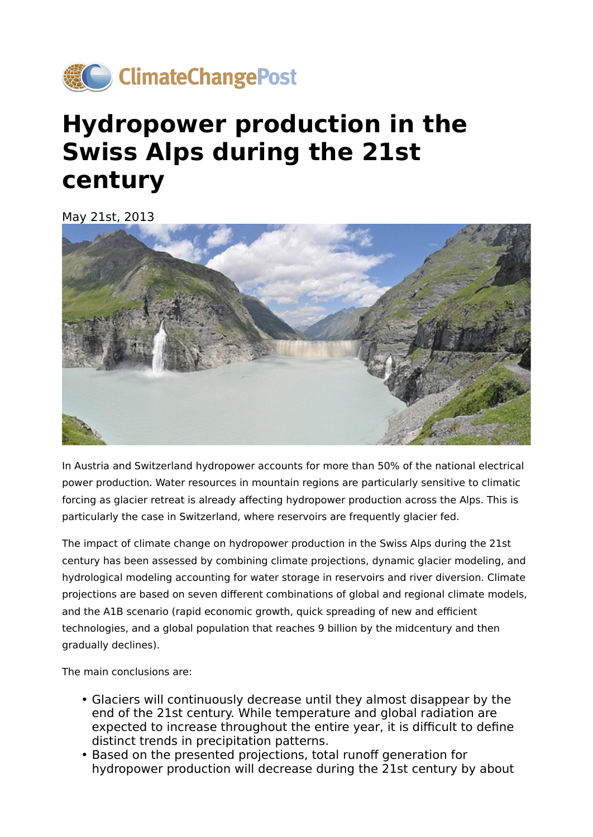

## **Hydropower production in the Swiss Alps during the 21st century**

May 21st, 2013



In Austria and Switzerland hydropower accounts for more than 50% of the national electrical power production. Water resources in mountain regions are particularly sensitive to climatic forcing as glacier retreat is already affecting hydropower production across the Alps. This is particularly the case in Switzerland, where reservoirs are frequently glacier fed.

The impact of climate change on hydropower production in the Swiss Alps during the 21st century has been assessed by combining climate projections, dynamic glacier modeling, and hydrological modeling accounting for water storage in reservoirs and river diversion. Climate projections are based on seven different combinations of global and regional climate models, and the A1B scenario (rapid economic growth, quick spreading of new and efficient technologies, and a global population that reaches 9 billion by the midcentury and then gradually declines).

The main conclusions are:

- Glaciers will continuously decrease until they almost disappear by the end of the 21st century. While temperature and global radiation are expected to increase throughout the entire year, it is difficult to define distinct trends in precipitation patterns.
- Based on the presented projections, total runoff generation for hydropower production will decrease during the 21st century by about